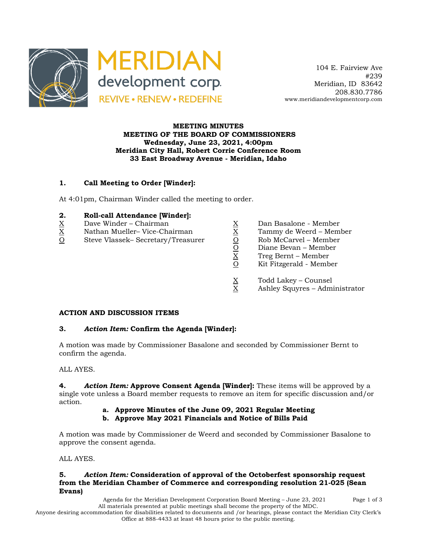

 104 E. Fairview Ave #239 Meridian, ID 83642 208.830.7786 www.meridiandevelopmentcorp.com

### **MEETING MINUTES MEETING OF THE BOARD OF COMMISSIONERS Wednesday, June 23, 2021, 4:00pm Meridian City Hall, Robert Corrie Conference Room 33 East Broadway Avenue - Meridian, Idaho**

# **1. Call Meeting to Order [Winder]:**

At 4:01pm, Chairman Winder called the meeting to order.

### **2. Roll-call Attendance [Winder]:**

- 
- $X$  Nathan Mueller–Vice-Chairman  $X$  Tammy de Weerd Member
- $\begin{array}{llllll} \underline{X} &\text{Dave Winder} \text{Chairman} && \underline{X} &\text{Dan Basalone Member} \\ \underline{X} &\text{Nathan Mueller} \text{Vice-Chairman} && \underline{X} &\text{Tammy de Weerd Membr} \\ \underline{O} &\text{Steve Vlassek} \text{Secretary/Treasure} && \underline{O} &\text{Rob McCarvel Member} \\ \underline{X} &\text{Diane Bevan Member} &\text{Teng Bernt Member} \\ \underline{X} &\text{Diane Bevan Member} \\ \underline{X} &\text{Diane Bevan Member} \\ \end{array}$ O Steve Vlassek– Secretary/Treasurer O Rob McCarvel – Member
	-
	-
	-
	- Diane Bevan Member
	- X Treg Bernt Member
	- Kit Fitzgerald Member
	-
	- $X$  Todd Lakey Counsel<br>X Ashley Squyres Admi Ashley Squyres – Administrator

#### **ACTION AND DISCUSSION ITEMS**

#### **3.** *Action Item:* **Confirm the Agenda [Winder]:**

A motion was made by Commissioner Basalone and seconded by Commissioner Bernt to confirm the agenda.

## ALL AYES.

**4.** *Action Item:* **Approve Consent Agenda [Winder]:** These items will be approved by a single vote unless a Board member requests to remove an item for specific discussion and/or action.

- **a. Approve Minutes of the June 09, 2021 Regular Meeting**
- **b. Approve May 2021 Financials and Notice of Bills Paid**

A motion was made by Commissioner de Weerd and seconded by Commissioner Basalone to approve the consent agenda.

ALL AYES.

### **5.** *Action Item:* **Consideration of approval of the Octoberfest sponsorship request from the Meridian Chamber of Commerce and corresponding resolution 21-025 (Sean Evans)**

Agenda for the Meridian Development Corporation Board Meeting – June 23, 2021 Page 1 of 3 All materials presented at public meetings shall become the property of the MDC. Anyone desiring accommodation for disabilities related to documents and /or hearings, please contact the Meridian City Clerk's Office at 888-4433 at least 48 hours prior to the public meeting.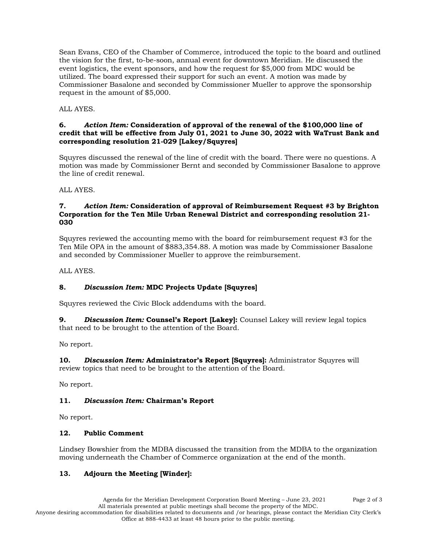Sean Evans, CEO of the Chamber of Commerce, introduced the topic to the board and outlined the vision for the first, to-be-soon, annual event for downtown Meridian. He discussed the event logistics, the event sponsors, and how the request for \$5,000 from MDC would be utilized. The board expressed their support for such an event. A motion was made by Commissioner Basalone and seconded by Commissioner Mueller to approve the sponsorship request in the amount of \$5,000.

ALL AYES.

#### **6.** *Action Item:* **Consideration of approval of the renewal of the \$100,000 line of credit that will be effective from July 01, 2021 to June 30, 2022 with WaTrust Bank and corresponding resolution 21-029 [Lakey/Squyres]**

Squyres discussed the renewal of the line of credit with the board. There were no questions. A motion was made by Commissioner Bernt and seconded by Commissioner Basalone to approve the line of credit renewal.

ALL AYES.

#### **7.** *Action Item:* **Consideration of approval of Reimbursement Request #3 by Brighton Corporation for the Ten Mile Urban Renewal District and corresponding resolution 21- 030**

Squyres reviewed the accounting memo with the board for reimbursement request #3 for the Ten Mile OPA in the amount of \$883,354.88. A motion was made by Commissioner Basalone and seconded by Commissioner Mueller to approve the reimbursement.

ALL AYES.

# **8.** *Discussion Item:* **MDC Projects Update [Squyres]**

Squyres reviewed the Civic Block addendums with the board.

**9.** *Discussion Item:* **Counsel's Report [Lakey]:** Counsel Lakey will review legal topics that need to be brought to the attention of the Board.

No report.

**10.** *Discussion Item:* **Administrator's Report [Squyres]:** Administrator Squyres will review topics that need to be brought to the attention of the Board.

No report.

# **11.** *Discussion Item:* **Chairman's Report**

No report.

# **12. Public Comment**

Lindsey Bowshier from the MDBA discussed the transition from the MDBA to the organization moving underneath the Chamber of Commerce organization at the end of the month.

# **13. Adjourn the Meeting [Winder]:**